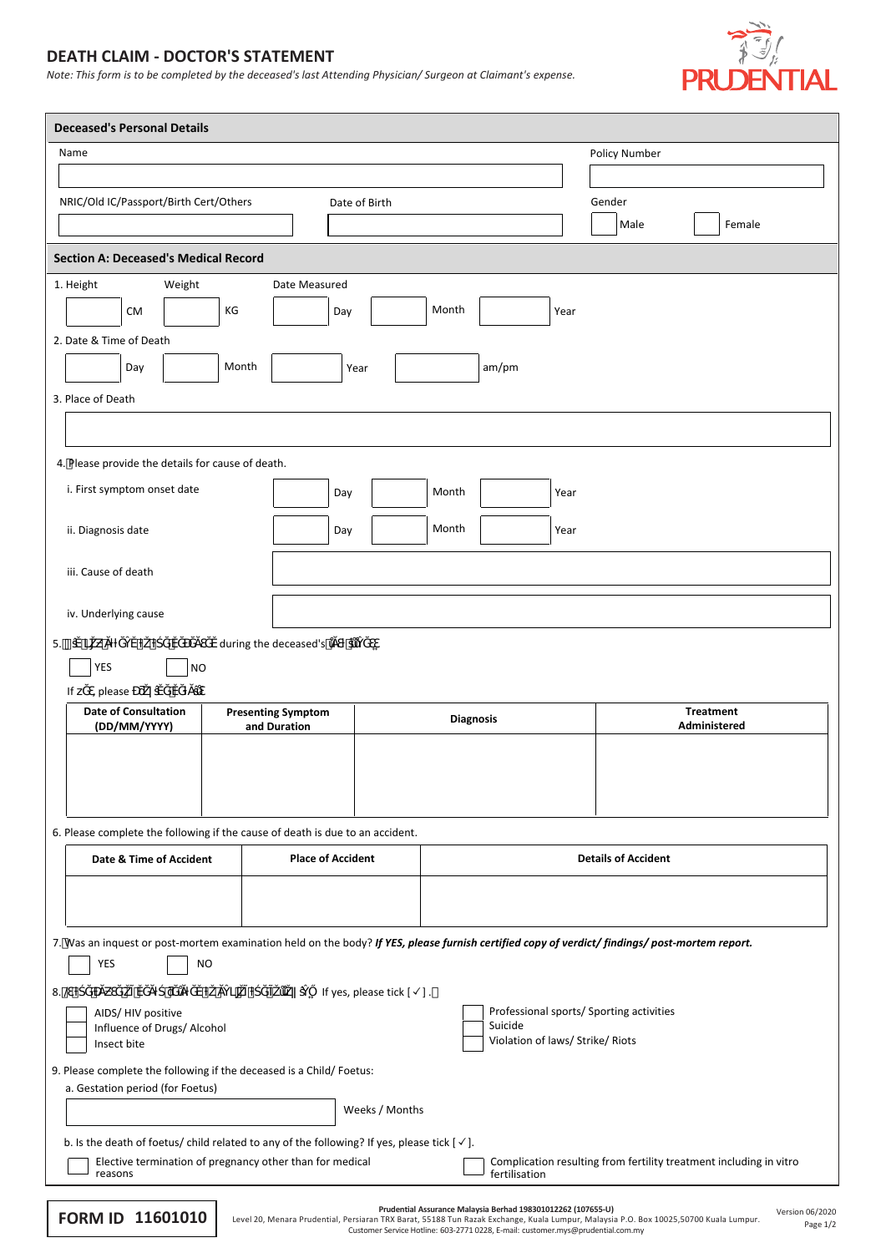## **DEATH CLAIM - DOCTOR'S STATEMENT**

*Note: This form is to be completed by the deceased's last Attending Physician/ Surgeon at Claimant's expense.*



| <b>Deceased's Personal Details</b>                                                                                                                                 |                                           |                                      |                  |                                             |               |                                          |                                                                    |  |  |
|--------------------------------------------------------------------------------------------------------------------------------------------------------------------|-------------------------------------------|--------------------------------------|------------------|---------------------------------------------|---------------|------------------------------------------|--------------------------------------------------------------------|--|--|
| Name                                                                                                                                                               |                                           |                                      |                  |                                             | Policy Number |                                          |                                                                    |  |  |
|                                                                                                                                                                    |                                           |                                      |                  |                                             |               |                                          |                                                                    |  |  |
| NRIC/Old IC/Passport/Birth Cert/Others<br>Date of Birth                                                                                                            |                                           |                                      |                  | Gender                                      |               |                                          |                                                                    |  |  |
|                                                                                                                                                                    |                                           |                                      |                  |                                             |               | Male                                     | Female                                                             |  |  |
| <b>Section A: Deceased's Medical Record</b>                                                                                                                        |                                           |                                      |                  |                                             |               |                                          |                                                                    |  |  |
| Weight<br>1. Height                                                                                                                                                | Date Measured                             |                                      |                  |                                             |               |                                          |                                                                    |  |  |
| КG<br><b>CM</b>                                                                                                                                                    | Day                                       |                                      | Month            |                                             | Year          |                                          |                                                                    |  |  |
| 2. Date & Time of Death                                                                                                                                            |                                           |                                      |                  |                                             |               |                                          |                                                                    |  |  |
| Month<br>Day                                                                                                                                                       |                                           | Year                                 |                  | am/pm                                       |               |                                          |                                                                    |  |  |
| 3. Place of Death                                                                                                                                                  |                                           |                                      |                  |                                             |               |                                          |                                                                    |  |  |
|                                                                                                                                                                    |                                           |                                      |                  |                                             |               |                                          |                                                                    |  |  |
| 4. Please provide the details for cause of death.                                                                                                                  |                                           |                                      |                  |                                             |               |                                          |                                                                    |  |  |
| i. First symptom onset date                                                                                                                                        | Day                                       |                                      | Month            |                                             | Year          |                                          |                                                                    |  |  |
|                                                                                                                                                                    |                                           |                                      |                  |                                             |               |                                          |                                                                    |  |  |
| ii. Diagnosis date                                                                                                                                                 | Day                                       |                                      | Month            |                                             | Year          |                                          |                                                                    |  |  |
| iii. Cause of death                                                                                                                                                |                                           |                                      |                  |                                             |               |                                          |                                                                    |  |  |
|                                                                                                                                                                    |                                           |                                      |                  |                                             |               |                                          |                                                                    |  |  |
| iv. Underlying cause                                                                                                                                               |                                           |                                      |                  |                                             |               |                                          |                                                                    |  |  |
| 5.                                                                                                                                                                 | during the deceased's                     |                                      |                  |                                             |               |                                          |                                                                    |  |  |
| <b>YES</b><br><b>NO</b>                                                                                                                                            |                                           |                                      |                  |                                             |               |                                          |                                                                    |  |  |
|                                                                                                                                                                    |                                           |                                      |                  |                                             |               |                                          |                                                                    |  |  |
| If '<br>, please<br><b>Date of Consultation</b>                                                                                                                    |                                           |                                      |                  |                                             |               |                                          | <b>Treatment</b>                                                   |  |  |
| (DD/MM/YYYY)                                                                                                                                                       | <b>Presenting Symptom</b><br>and Duration |                                      | <b>Diagnosis</b> |                                             |               |                                          | Administered                                                       |  |  |
|                                                                                                                                                                    |                                           |                                      |                  |                                             |               |                                          |                                                                    |  |  |
|                                                                                                                                                                    |                                           |                                      |                  |                                             |               |                                          |                                                                    |  |  |
|                                                                                                                                                                    |                                           |                                      |                  |                                             |               |                                          |                                                                    |  |  |
| 6. Please complete the following if the cause of death is due to an accident.                                                                                      |                                           |                                      |                  |                                             |               |                                          |                                                                    |  |  |
| Date & Time of Accident                                                                                                                                            | <b>Place of Accident</b>                  |                                      |                  |                                             |               | <b>Details of Accident</b>               |                                                                    |  |  |
|                                                                                                                                                                    |                                           |                                      |                  |                                             |               |                                          |                                                                    |  |  |
|                                                                                                                                                                    |                                           |                                      |                  |                                             |               |                                          |                                                                    |  |  |
| 7. Was an inquest or post-mortem examination held on the body? If YES, please furnish certified copy of verdict/findings/post-mortem report.                       |                                           |                                      |                  |                                             |               |                                          |                                                                    |  |  |
| YES<br><b>NO</b>                                                                                                                                                   |                                           |                                      |                  |                                             |               |                                          |                                                                    |  |  |
| $8.$ @<br>AIDS/HIV positive                                                                                                                                        |                                           | If yes, please tick $[\checkmark]$ . |                  |                                             |               | Professional sports/ Sporting activities |                                                                    |  |  |
| Influence of Drugs/ Alcohol<br>Insect bite                                                                                                                         |                                           |                                      |                  | Suicide<br>Violation of laws/ Strike/ Riots |               |                                          |                                                                    |  |  |
|                                                                                                                                                                    |                                           |                                      |                  |                                             |               |                                          |                                                                    |  |  |
| 9. Please complete the following if the deceased is a Child/Foetus:<br>a. Gestation period (for Foetus)                                                            |                                           |                                      |                  |                                             |               |                                          |                                                                    |  |  |
|                                                                                                                                                                    |                                           | Weeks / Months                       |                  |                                             |               |                                          |                                                                    |  |  |
| b. Is the death of foetus/child related to any of the following? If yes, please tick [ $\checkmark$ ].<br>Elective termination of pregnancy other than for medical |                                           |                                      |                  |                                             |               |                                          | Complication resulting from fertility treatment including in vitro |  |  |